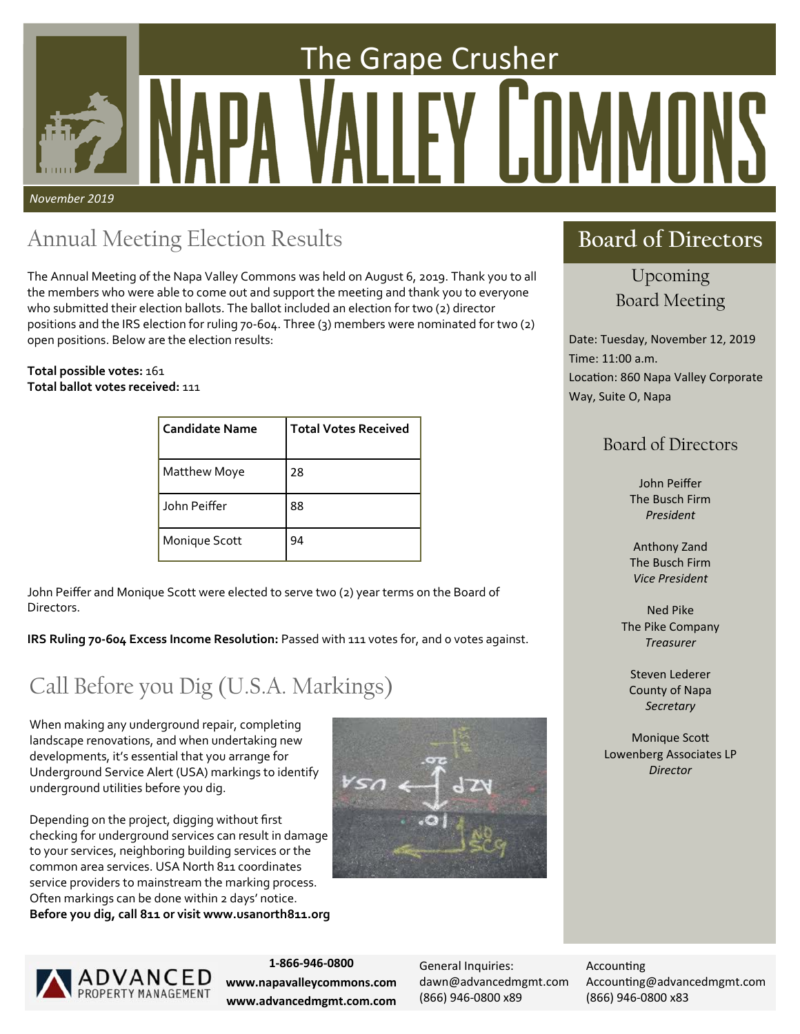# *November 2019*  The Grape Crusher

## Annual Meeting Election Results

The Annual Meeting of the Napa Valley Commons was held on August 6, 2019. Thank you to all the members who were able to come out and support the meeting and thank you to everyone who submitted their election ballots. The ballot included an election for two (2) director positions and the IRS election for ruling 70‐604. Three (3) members were nominated for two (2) open positions. Below are the election results:

#### **Total possible votes:** 161 **Total ballot votes received:** 111

| <b>Candidate Name</b> | <b>Total Votes Received</b> |
|-----------------------|-----------------------------|
| Matthew Moye          | 28                          |
| John Peiffer          | 88                          |
| Monique Scott         | 94                          |

John Peiffer and Monique Scott were elected to serve two (2) year terms on the Board of Directors.

**IRS Ruling 70‐604 Excess Income Resolution:** Passed with 111 votes for, and 0 votes against.

## Call Before you Dig (U.S.A. Markings)

When making any underground repair, completing landscape renovations, and when undertaking new developments, it's essential that you arrange for Underground Service Alert (USA) markings to identify underground utilities before you dig.

Depending on the project, digging without first checking for underground services can result in damage to your services, neighboring building services or the common area services. USA North 811 coordinates service providers to mainstream the marking process. Often markings can be done within 2 days' notice. **Before you dig, call 811 or visit www.usanorth811.org**





## | ADVANCED<br>| property management

**1‐866‐946‐0800 www.napavalleycommons.com www.advancedmgmt.com.com** 

General Inquiries: dawn@advancedmgmt.com (866) 946‐0800 x89

Accounting Accounting@advancedmgmt.com (866) 946‐0800 x83

## **Board of Directors**

Upcoming Board Meeting

Date: Tuesday, November 12, 2019 Time: 11:00 a.m. Location: 860 Napa Valley Corporate Way, Suite O, Napa

## Board of Directors

John Peiffer The Busch Firm *President* 

Anthony Zand The Busch Firm *Vice President* 

Ned Pike The Pike Company *Treasurer* 

Steven Lederer County of Napa *Secretary* 

**Monique Scott** Lowenberg Associates LP *Director*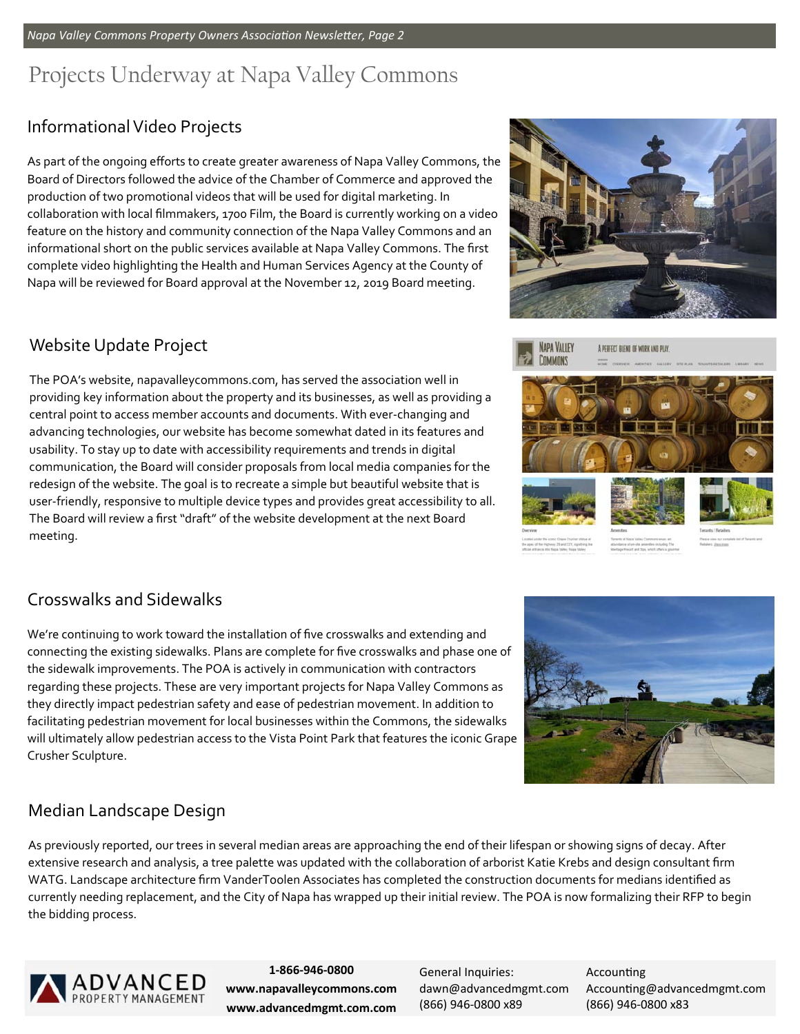## Projects Underway at Napa Valley Commons

## Informational Video Projects

As part of the ongoing efforts to create greater awareness of Napa Valley Commons, the Board of Directors followed the advice of the Chamber of Commerce and approved the production of two promotional videos that will be used for digital marketing. In collaboration with local filmmakers, 1700 Film, the Board is currently working on a video feature on the history and community connection of the Napa Valley Commons and an informational short on the public services available at Napa Valley Commons. The first complete video highlighting the Health and Human Services Agency at the County of Napa will be reviewed for Board approval at the November 12, 2019 Board meeting.

#### Website Update Project

The POA's website, napavalleycommons.com, has served the association well in providing key information about the property and its businesses, as well as providing a central point to access member accounts and documents. With ever‐changing and advancing technologies, our website has become somewhat dated in its features and usability. To stay up to date with accessibility requirements and trends in digital communication, the Board will consider proposals from local media companies for the redesign of the website. The goal is to recreate a simple but beautiful website that is user-friendly, responsive to multiple device types and provides great accessibility to all. The Board will review a first "draft" of the website development at the next Board meeting.





#### Crosswalks and Sidewalks

We're continuing to work toward the installation of five crosswalks and extending and connecting the existing sidewalks. Plans are complete for five crosswalks and phase one of the sidewalk improvements. The POA is actively in communication with contractors regarding these projects. These are very important projects for Napa Valley Commons as they directly impact pedestrian safety and ease of pedestrian movement. In addition to facilitating pedestrian movement for local businesses within the Commons, the sidewalks will ultimately allow pedestrian access to the Vista Point Park that features the iconic Grape Crusher Sculpture.



## Median Landscape Design

As previously reported, our trees in several median areas are approaching the end of their lifespan or showing signs of decay. After extensive research and analysis, a tree palette was updated with the collaboration of arborist Katie Krebs and design consultant firm WATG. Landscape architecture firm VanderToolen Associates has completed the construction documents for medians identified as currently needing replacement, and the City of Napa has wrapped up their initial review. The POA is now formalizing their RFP to begin the bidding process.



**1‐866‐946‐0800 www.napavalleycommons.com www.advancedmgmt.com.com** 

General Inquiries: dawn@advancedmgmt.com (866) 946‐0800 x89

**Accounting** Accounting@advancedmgmt.com (866) 946‐0800 x83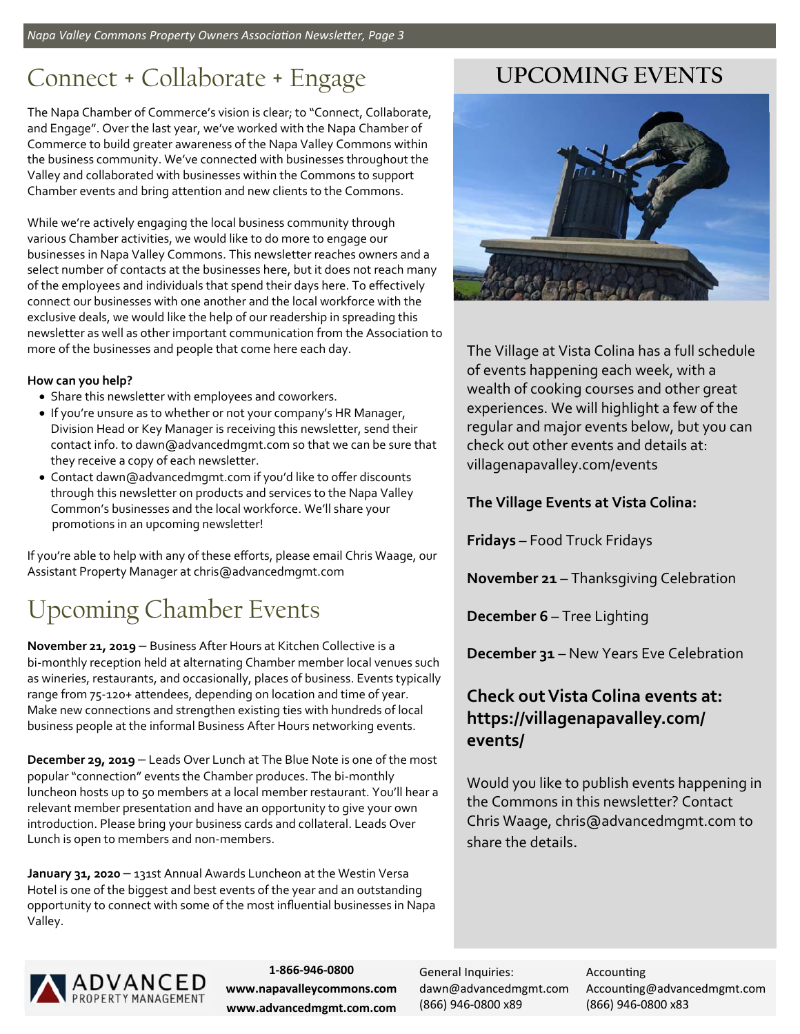## Connect + Collaborate + Engage

The Napa Chamber of Commerce's vision is clear; to "Connect, Collaborate, and Engage". Over the last year, we've worked with the Napa Chamber of Commerce to build greater awareness of the Napa Valley Commons within the business community. We've connected with businesses throughout the Valley and collaborated with businesses within the Commons to support Chamber events and bring attention and new clients to the Commons.

While we're actively engaging the local business community through various Chamber activities, we would like to do more to engage our businesses in Napa Valley Commons. This newsletter reaches owners and a select number of contacts at the businesses here, but it does not reach many of the employees and individuals that spend their days here. To effectively connect our businesses with one another and the local workforce with the exclusive deals, we would like the help of our readership in spreading this newsletter as well as other important communication from the Association to more of the businesses and people that come here each day.

#### **How can you help?**

- Share this newsletter with employees and coworkers.
- If you're unsure as to whether or not your company's HR Manager, Division Head or Key Manager is receiving this newsletter, send their contact info. to dawn@advancedmgmt.com so that we can be sure that they receive a copy of each newsletter.
- Contact dawn@advancedmgmt.com if you'd like to offer discounts through this newsletter on products and services to the Napa Valley Common's businesses and the local workforce. We'll share your promotions in an upcoming newsletter!

If you're able to help with any of these efforts, please email Chris Waage, our Assistant Property Manager at chris@advancedmgmt.com

## Upcoming Chamber Events

**November 21, 2019** – Business After Hours at Kitchen Collective is a bi-monthly reception held at alternating Chamber member local venues such as wineries, restaurants, and occasionally, places of business. Events typically range from 75‐120+ attendees, depending on location and time of year. Make new connections and strengthen existing ties with hundreds of local business people at the informal Business After Hours networking events.

**December 29, 2019** – Leads Over Lunch at The Blue Note is one of the most popular "connection" events the Chamber produces. The bi-monthly luncheon hosts up to 50 members at a local member restaurant. You'll hear a relevant member presentation and have an opportunity to give your own introduction. Please bring your business cards and collateral. Leads Over Lunch is open to members and non‐members.

**January 31, 2020** – 131st Annual Awards Luncheon at the Westin Versa Hotel is one of the biggest and best events of the year and an outstanding opportunity to connect with some of the most influential businesses in Napa Valley.

## **UPCOMING EVENTS**



The Village at Vista Colina has a full schedule of events happening each week, with a wealth of cooking courses and other great experiences. We will highlight a few of the regular and major events below, but you can check out other events and details at: villagenapavalley.com/events

**The Village Events at Vista Colina:** 

**Fridays** – Food Truck Fridays

**November 21** – Thanksgiving Celebration

**December 6** – Tree Lighting

**December 31** – New Years Eve Celebration

#### **Check out Vista Colina events at: https://villagenapavalley.com/ events/**

Would you like to publish events happening in the Commons in this newsletter? Contact Chris Waage, chris@advancedmgmt.com to share the details.



**1‐866‐946‐0800 www.napavalleycommons.com www.advancedmgmt.com.com** 

General Inquiries: dawn@advancedmgmt.com (866) 946‐0800 x89

**Accounting** Accounting@advancedmgmt.com (866) 946‐0800 x83